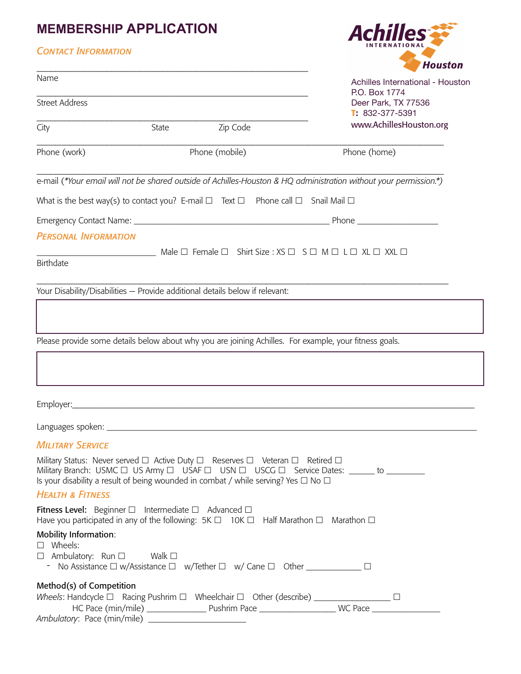# **MEMBERSHIP APPLICATION**

|                                                                                                | <b>MEMBERSHIP APPLICATION</b>                                                                                                                                                  | <b>Achilles</b> |                                                                                                                   |  |
|------------------------------------------------------------------------------------------------|--------------------------------------------------------------------------------------------------------------------------------------------------------------------------------|-----------------|-------------------------------------------------------------------------------------------------------------------|--|
| <b>CONTACT INFORMATION</b>                                                                     |                                                                                                                                                                                |                 |                                                                                                                   |  |
|                                                                                                |                                                                                                                                                                                |                 | <b>Houston</b>                                                                                                    |  |
| Name                                                                                           |                                                                                                                                                                                |                 | Achilles International - Houston<br>P.O. Box 1774                                                                 |  |
| <b>Street Address</b>                                                                          |                                                                                                                                                                                |                 | Deer Park, TX 77536<br>$T: 832-377-5391$                                                                          |  |
| City                                                                                           | State                                                                                                                                                                          | Zip Code        | www.AchillesHouston.org                                                                                           |  |
| Phone (work)                                                                                   | Phone (mobile)                                                                                                                                                                 |                 | Phone (home)                                                                                                      |  |
|                                                                                                |                                                                                                                                                                                |                 | e-mail (*Your email will not be shared outside of Achilles-Houston & HQ administration without your permission.*) |  |
|                                                                                                | What is the best way(s) to contact you? E-mail $\Box$ Text $\Box$ Phone call $\Box$ Snail Mail $\Box$                                                                          |                 |                                                                                                                   |  |
|                                                                                                |                                                                                                                                                                                |                 |                                                                                                                   |  |
| <b>PERSONAL INFORMATION</b>                                                                    |                                                                                                                                                                                |                 |                                                                                                                   |  |
|                                                                                                | $\Box$ Male $\Box$ Female $\Box$ Shirt Size : XS $\Box$ S $\Box$ M $\Box$ L $\Box$ XL $\Box$ XXL $\Box$                                                                        |                 |                                                                                                                   |  |
| <b>Birthdate</b>                                                                               |                                                                                                                                                                                |                 |                                                                                                                   |  |
|                                                                                                | Your Disability/Disabilities - Provide additional details below if relevant:                                                                                                   |                 |                                                                                                                   |  |
|                                                                                                |                                                                                                                                                                                |                 |                                                                                                                   |  |
|                                                                                                |                                                                                                                                                                                |                 |                                                                                                                   |  |
|                                                                                                | Please provide some details below about why you are joining Achilles. For example, your fitness goals.                                                                         |                 |                                                                                                                   |  |
|                                                                                                |                                                                                                                                                                                |                 |                                                                                                                   |  |
|                                                                                                |                                                                                                                                                                                |                 |                                                                                                                   |  |
|                                                                                                |                                                                                                                                                                                |                 |                                                                                                                   |  |
|                                                                                                |                                                                                                                                                                                |                 |                                                                                                                   |  |
|                                                                                                |                                                                                                                                                                                |                 |                                                                                                                   |  |
| <b>MILITARY SERVICE</b>                                                                        |                                                                                                                                                                                |                 |                                                                                                                   |  |
|                                                                                                | Military Status: Never served □ Active Duty □ Reserves □ Veteran □ Retired □<br>Is your disability a result of being wounded in combat / while serving? Yes $\Box$ No $\Box$   |                 | Military Branch: USMC □ US Army □ USAF □ USN □ USCG □ Service Dates: ______ to ________                           |  |
| <b>HEALTH &amp; FITNESS</b>                                                                    |                                                                                                                                                                                |                 |                                                                                                                   |  |
|                                                                                                | Fitness Level: Beginner $\Box$ Intermediate $\Box$ Advanced $\Box$<br>Have you participated in any of the following: $5K \Box$ 10K $\Box$ Half Marathon $\Box$ Marathon $\Box$ |                 |                                                                                                                   |  |
| <b>Mobility Information:</b><br>$\square$ Wheels:<br>$\Box$ Ambulatory: Run $\Box$ Walk $\Box$ |                                                                                                                                                                                |                 |                                                                                                                   |  |
| Method(s) of Competition                                                                       |                                                                                                                                                                                |                 |                                                                                                                   |  |
|                                                                                                | Wheels: Handcycle $\Box$ Racing Pushrim $\Box$ Wheelchair $\Box$ Other (describe) _____________________ $\Box$                                                                 |                 |                                                                                                                   |  |